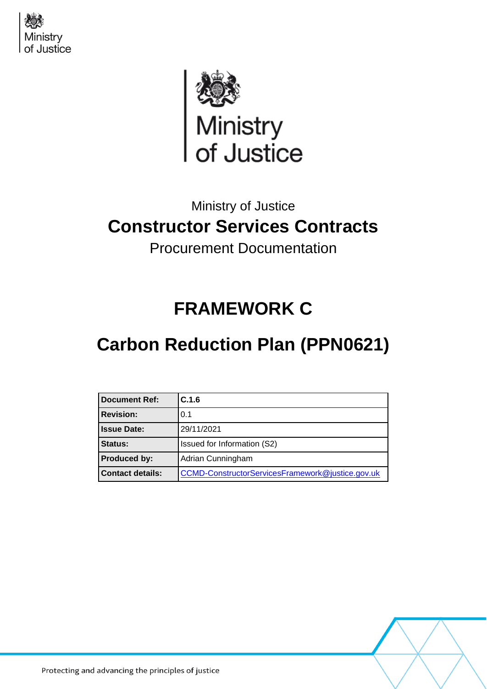



## Ministry of Justice **Constructor Services Contracts**

Procurement Documentation

# **FRAMEWORK C**

# **Carbon Reduction Plan (PPN0621)**

| <b>Document Ref:</b>    | C.1.6                                            |
|-------------------------|--------------------------------------------------|
| <b>Revision:</b>        | 0.1                                              |
| <b>Issue Date:</b>      | 29/11/2021                                       |
| Status:                 | Issued for Information (S2)                      |
| <b>Produced by:</b>     | Adrian Cunningham                                |
| <b>Contact details:</b> | CCMD-ConstructorServicesFramework@justice.gov.uk |

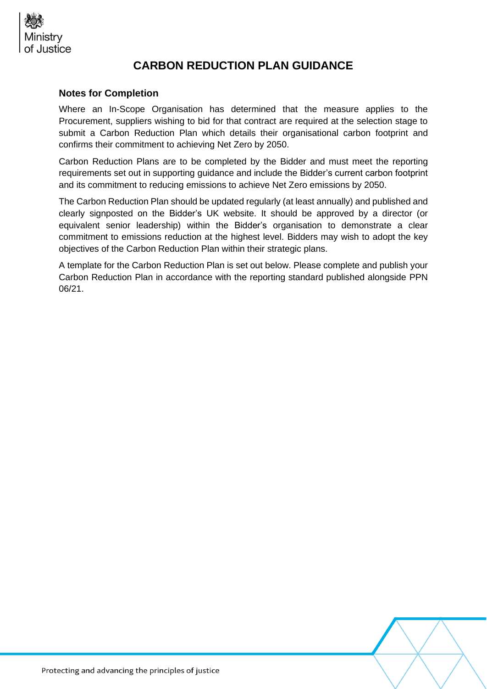

### **CARBON REDUCTION PLAN GUIDANCE**

#### **Notes for Completion**

Where an In-Scope Organisation has determined that the measure applies to the Procurement, suppliers wishing to bid for that contract are required at the selection stage to submit a Carbon Reduction Plan which details their organisational carbon footprint and confirms their commitment to achieving Net Zero by 2050.

Carbon Reduction Plans are to be completed by the Bidder and must meet the reporting requirements set out in supporting guidance and include the Bidder's current carbon footprint and its commitment to reducing emissions to achieve Net Zero emissions by 2050.

The Carbon Reduction Plan should be updated regularly (at least annually) and published and clearly signposted on the Bidder's UK website. It should be approved by a director (or equivalent senior leadership) within the Bidder's organisation to demonstrate a clear commitment to emissions reduction at the highest level. Bidders may wish to adopt the key objectives of the Carbon Reduction Plan within their strategic plans.

A template for the Carbon Reduction Plan is set out below. Please complete and publish your Carbon Reduction Plan in accordance with the reporting standard published alongside PPN 06/21.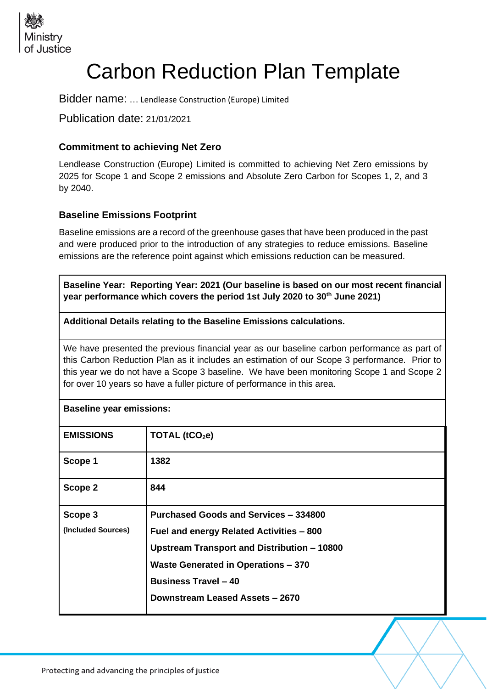

# Carbon Reduction Plan Template

Bidder name: … Lendlease Construction (Europe) Limited

Publication date: 21/01/2021

#### **Commitment to achieving Net Zero**

Lendlease Construction (Europe) Limited is committed to achieving Net Zero emissions by 2025 for Scope 1 and Scope 2 emissions and Absolute Zero Carbon for Scopes 1, 2, and 3 by 2040.

#### **Baseline Emissions Footprint**

Baseline emissions are a record of the greenhouse gases that have been produced in the past and were produced prior to the introduction of any strategies to reduce emissions. Baseline emissions are the reference point against which emissions reduction can be measured.

**Baseline Year: Reporting Year: 2021 (Our baseline is based on our most recent financial year performance which covers the period 1st July 2020 to 30th June 2021)**

**Additional Details relating to the Baseline Emissions calculations.** 

We have presented the previous financial year as our baseline carbon performance as part of this Carbon Reduction Plan as it includes an estimation of our Scope 3 performance. Prior to this year we do not have a Scope 3 baseline. We have been monitoring Scope 1 and Scope 2 for over 10 years so have a fuller picture of performance in this area.

| <b>Baseline year emissions:</b> |                                              |  |
|---------------------------------|----------------------------------------------|--|
| <b>EMISSIONS</b>                | TOTAL (tCO <sub>2</sub> e)                   |  |
| Scope 1                         | 1382                                         |  |
| Scope 2                         | 844                                          |  |
| Scope 3                         | <b>Purchased Goods and Services - 334800</b> |  |
| (Included Sources)              | Fuel and energy Related Activities - 800     |  |
|                                 | Upstream Transport and Distribution - 10800  |  |
|                                 | <b>Waste Generated in Operations - 370</b>   |  |
|                                 | <b>Business Travel - 40</b>                  |  |
|                                 | Downstream Leased Assets - 2670              |  |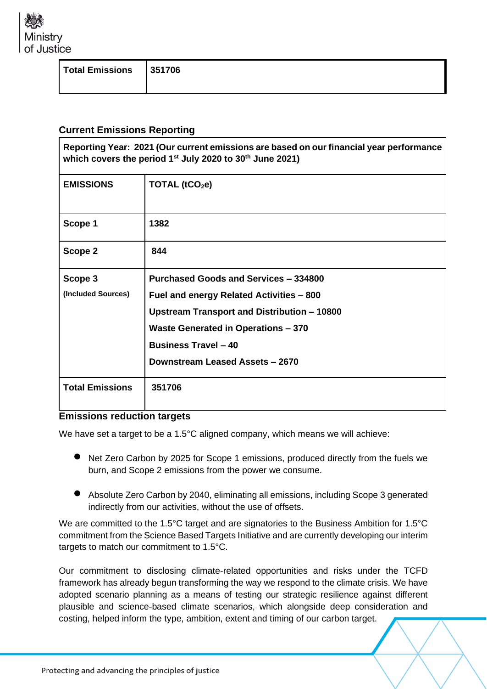

| Total Emissions   351706 |
|--------------------------|
|--------------------------|

### **Current Emissions Reporting**

| Reporting Year: 2021 (Our current emissions are based on our financial year performance<br>which covers the period 1 <sup>st</sup> July 2020 to 30 <sup>th</sup> June 2021) |                                                 |  |
|-----------------------------------------------------------------------------------------------------------------------------------------------------------------------------|-------------------------------------------------|--|
| <b>EMISSIONS</b>                                                                                                                                                            | TOTAL $(tCO2e)$                                 |  |
| Scope 1                                                                                                                                                                     | 1382                                            |  |
| Scope 2                                                                                                                                                                     | 844                                             |  |
| Scope 3                                                                                                                                                                     | Purchased Goods and Services - 334800           |  |
| (Included Sources)                                                                                                                                                          | <b>Fuel and energy Related Activities - 800</b> |  |
|                                                                                                                                                                             | Upstream Transport and Distribution - 10800     |  |
|                                                                                                                                                                             | Waste Generated in Operations - 370             |  |
|                                                                                                                                                                             | <b>Business Travel - 40</b>                     |  |
|                                                                                                                                                                             | Downstream Leased Assets - 2670                 |  |
| <b>Total Emissions</b>                                                                                                                                                      | 351706                                          |  |

#### **Emissions reduction targets**

We have set a target to be a 1.5°C aligned company, which means we will achieve:

- Net Zero Carbon by 2025 for Scope 1 emissions, produced directly from the fuels we burn, and Scope 2 emissions from the power we consume.
- Absolute Zero Carbon by 2040, eliminating all emissions, including Scope 3 generated indirectly from our activities, without the use of offsets.

We are committed to the 1.5°C target and are signatories to the Business Ambition for 1.5°C commitment from the Science Based Targets Initiative and are currently developing our interim targets to match our commitment to 1.5°C.

Our commitment to disclosing climate-related opportunities and risks under the TCFD framework has already begun transforming the way we respond to the climate crisis. We have adopted scenario planning as a means of testing our strategic resilience against different plausible and science-based climate scenarios, which alongside deep consideration and costing, helped inform the type, ambition, extent and timing of our carbon target.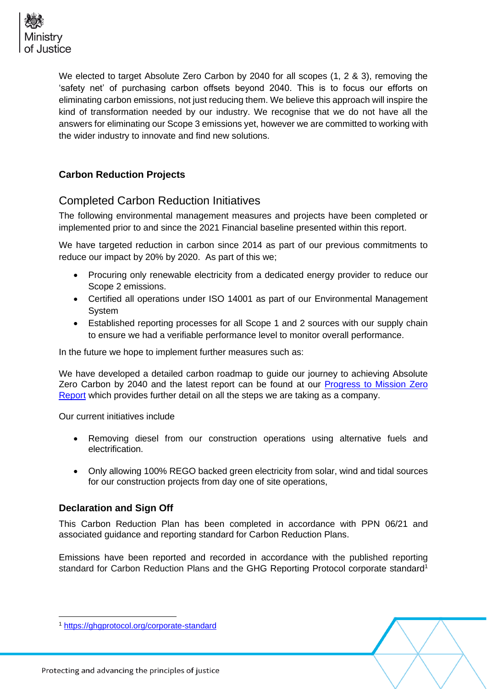

We elected to target Absolute Zero Carbon by 2040 for all scopes (1, 2 & 3), removing the 'safety net' of purchasing carbon offsets beyond 2040. This is to focus our efforts on eliminating carbon emissions, not just reducing them. We believe this approach will inspire the kind of transformation needed by our industry. We recognise that we do not have all the answers for eliminating our Scope 3 emissions yet, however we are committed to working with the wider industry to innovate and find new solutions.

#### **Carbon Reduction Projects**

### Completed Carbon Reduction Initiatives

The following environmental management measures and projects have been completed or implemented prior to and since the 2021 Financial baseline presented within this report.

We have targeted reduction in carbon since 2014 as part of our previous commitments to reduce our impact by 20% by 2020. As part of this we;

- Procuring only renewable electricity from a dedicated energy provider to reduce our Scope 2 emissions.
- Certified all operations under ISO 14001 as part of our Environmental Management System
- Established reporting processes for all Scope 1 and 2 sources with our supply chain to ensure we had a verifiable performance level to monitor overall performance.

In the future we hope to implement further measures such as:

We have developed a detailed carbon roadmap to guide our journey to achieving Absolute Zero Carbon by 2040 and the latest report can be found at our **Progress to Mission Zero** [Report](https://www.lendlease.com/uk/-/media/llcom/better-places/2021/october/lendlease_europe_mission_zero_roadmap.pdf?la=en&hash=EB400C37087D9216ED743DCCD953B70449E0AA1B) which provides further detail on all the steps we are taking as a company.

Our current initiatives include

- Removing diesel from our construction operations using alternative fuels and electrification.
- Only allowing 100% REGO backed green electricity from solar, wind and tidal sources for our construction projects from day one of site operations,

#### **Declaration and Sign Off**

This Carbon Reduction Plan has been completed in accordance with PPN 06/21 and associated guidance and reporting standard for Carbon Reduction Plans.

Emissions have been reported and recorded in accordance with the published reporting standard for Carbon Reduction Plans and the GHG Reporting Protocol corporate standard<sup>1</sup>

<sup>1</sup> <https://ghgprotocol.org/corporate-standard>